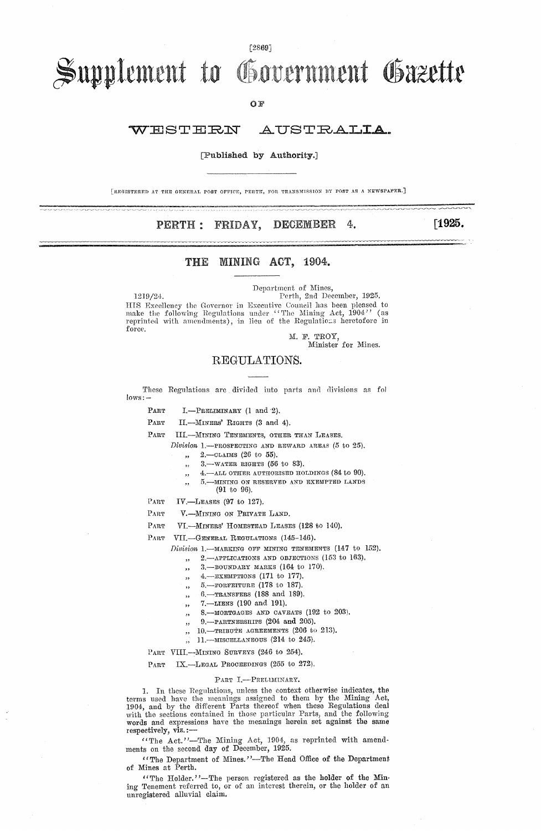### $[2869]$

# Supplement to Government Gazette

 $QF$ 

#### WESTERN AUSTRALIA

## [Published by Authority.]

[REGISTERED AT THE GENERAL POST OFFICE, PERTH, FOR TRANSMISSION BY POST AS A NEWSPAPER.]

#### DECEMBER PERTH : FRIDAY, 4.

[1925.

#### MINING ACT, 1904. THE

1219/24. Perth, 2nd December, 1925. HIS Excellency the Governor in Executive Council has been pleased to make the following Regulations under "The Mining Act, 1904" (as reprinted with amendments), in lieu of the Regulations heretofore in force.

M. F. TROY,<br>Minister for Mines.

Department of Mines,

## REGULATIONS.

These Regulations are divided into parts and divisions as fol lows:

PART

I.-PRELIMINARY (1 and 2).

PART II.-MINERS' RIGHTS (3 and 4).

PART III.-MINING TENEMENTS, OTHER THAN LEASES.

- Division 1.- PROSPECTING AND REWARD AREAS (5 to 25).
	- $2. \text{OLATMS}$  (26 to 55).
	- 3. WATER RIGHTS  $(56$  to 83).
	- 4. ALL OTHER AUTHORISED HOLDINGS (84 to 90).
	- -MINING ON RESERVED AND EXEMPTED LANDS ,,
- $(91 to 96)$ .  $PART$ IV.-LEASES (97 to 127).

PART V.-MINING ON PRIVATE LAND.

PART VI.-MINERS' HOMESTEAD LEASES (128 to 140).

PART VII.-GENERAL REGULATIONS (145-146).

Division 1. MARKING OFF MINING TENEMENTS (147 to 152).

- 2. APPLICATIONS AND OBJECTIONS (153 to 163). ,,
- 3. BOUNDARY MARKS (164 to 170).
- 4.-EXEMPTIONS (171 to 177).  $\overline{\phantom{a}}$
- 5.-FORFEITURE (178 to 187).  $\overline{\mathbf{5}}$
- 6.-TRANSFERS (188 and 189).
- 7.-LIENS (190 and 191).  $55$
- 8. MORTGAGES AND CAVEATS (192 to 203).
- 9. PARTNERSHIPS (204 and 205).
- 10. TRIBUTE AGREEMENTS (206 to 213).  $\cdot$
- $, 11$ . MISCELLANEOUS (214 to 245).

PART VIII.--MINING SURVEYS (246 to 254).

IX.-LEGAL PROCEEDINGS (255 to 272).  $PART$ 

### PART I.-PRELUMINARY.

1. In these Regulations, unless the context otherwise indicates, the For the mass use the meanings assigned to them by the Mining Act,<br>1904, and by the different Parts thereof when these Regulations deal<br>with the sections contained in those particular Parts, and the following<br>words and expr respectively, viz.:-

""The Act."-The Mining Act, 1904, as reprinted with amend-<br>ments on the second day of December, 1925.

"The Department of Mines."-The Head Office of the Department of Mines at Perth.

"The Holder."-The person registered as the holder of the Mining Tenement referred to, or of an interest therein, or the holder of an unregistered alluvial claim.